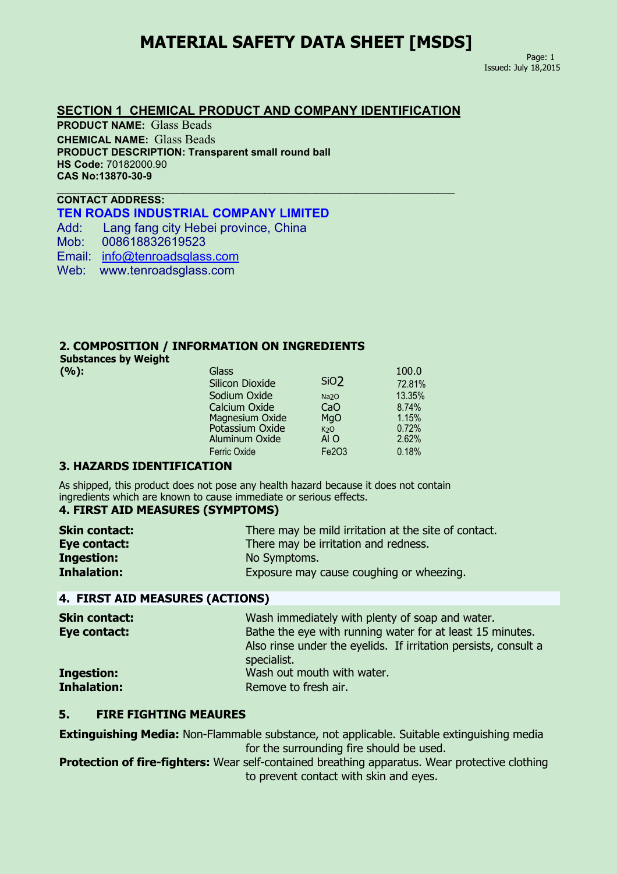## **MATERIAL SAFETY DATA SHEET [MSDS]**

 $\_$  , and the set of the set of the set of the set of the set of the set of the set of the set of the set of the set of the set of the set of the set of the set of the set of the set of the set of the set of the set of th

Page: 1 Issued: July 18,2015

#### **SECTION 1 CHEMICAL PRODUCT AND COMPANY IDENTIFICATION**

**PRODUCT NAME:** Glass Beads **CHEMICAL NAME:** Glass Beads **PRODUCT DESCRIPTION: Transparent small round ball HS Code:** 70182000.90 **CAS No:13870-30-9**

### **CONTACT ADDRESS: TEN ROADS INDUSTRIAL COMPANY LIMITED**

Add: Lang fang city Hebei province, China

Mob: 008618832619523

Email: [info@tenroadsglass.com](mailto:info@tenroadsglass.com)

Web: www.tenroadsglass.com

#### **2. COMPOSITION / INFORMATION ON INGREDIENTS**

**Substances by Weight**

| Glass               |                  | 100.0             |  |
|---------------------|------------------|-------------------|--|
| Silicon Dioxide     |                  | 72.81%            |  |
| Sodium Oxide        | Na <sub>20</sub> | 13.35%            |  |
| Calcium Oxide       | CaO              | 8.74%             |  |
| Magnesium Oxide     | MgO              | 1.15%             |  |
| Potassium Oxide     | K <sub>2</sub> O | 0.72%             |  |
| Aluminum Oxide      | AI O             | 2.62%             |  |
| <b>Ferric Oxide</b> | Fe203            | 0.18%             |  |
|                     |                  | Si <sub>O</sub> 2 |  |

#### **3. HAZARDS IDENTIFICATION**

As shipped, this product does not pose any health hazard because it does not contain ingredients which are known to cause immediate or serious effects.

### **4. FIRST AID MEASURES (SYMPTOMS)**

| <b>Skin contact:</b> | There may be mild irritation at the site of contact. |
|----------------------|------------------------------------------------------|
| Eye contact:         | There may be irritation and redness.                 |
| <b>Ingestion:</b>    | No Symptoms.                                         |
| <b>Inhalation:</b>   | Exposure may cause coughing or wheezing.             |

#### **4. FIRST AID MEASURES (ACTIONS)**

| <b>Skin contact:</b> | Wash immediately with plenty of soap and water.                 |
|----------------------|-----------------------------------------------------------------|
| Eye contact:         | Bathe the eye with running water for at least 15 minutes.       |
|                      | Also rinse under the eyelids. If irritation persists, consult a |
|                      | specialist.                                                     |
| <b>Ingestion:</b>    | Wash out mouth with water.                                      |
| <b>Inhalation:</b>   | Remove to fresh air.                                            |
|                      |                                                                 |

### **5. FIRE FIGHTING MEAURES**

**Extinguishing Media:** Non-Flammable substance, not applicable. Suitable extinguishing media for the surrounding fire should be used.

**Protection of fire-fighters:** Wear self-contained breathing apparatus. Wear protective clothing to prevent contact with skin and eyes.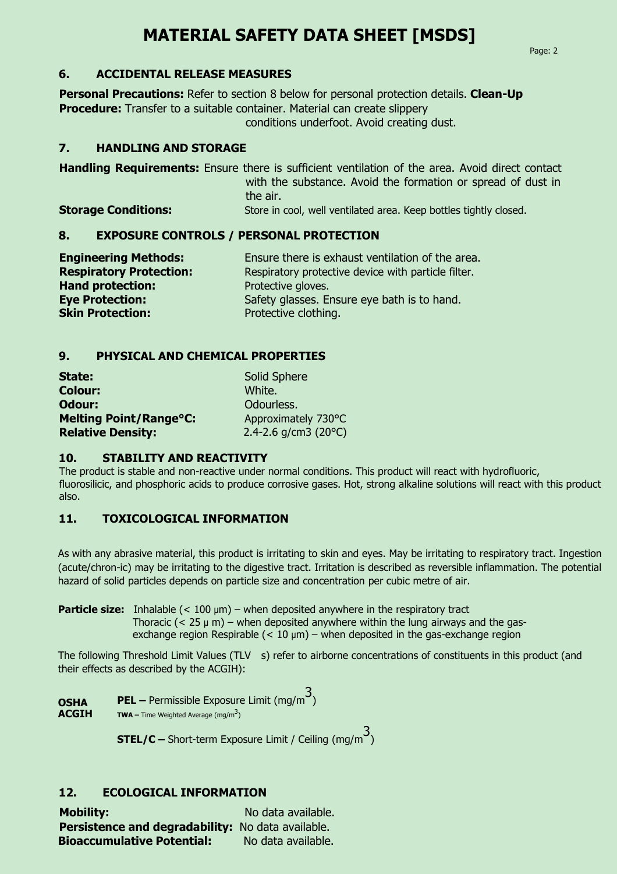# **MATERIAL SAFETY DATA SHEET [MSDS]**

### **6. ACCIDENTAL RELEASE MEASURES**

**Personal Precautions:** Refer to section 8 below for personal protection details. **Clean-Up Procedure:** Transfer to a suitable container. Material can create slippery conditions underfoot. Avoid creating dust.

### **7. HANDLING AND STORAGE**

**Handling Requirements:** Ensure there is sufficient ventilation of the area. Avoid direct contact with the substance. Avoid the formation or spread of dust in the air.

**Storage Conditions:** Store in cool, well ventilated area. Keep bottles tightly closed.

### **8. EXPOSURE CONTROLS / PERSONAL PROTECTION**

| <b>Engineering Methods:</b>    | Ensure there is exhaust ventilation of the area.    |
|--------------------------------|-----------------------------------------------------|
| <b>Respiratory Protection:</b> | Respiratory protective device with particle filter. |
| <b>Hand protection:</b>        | Protective gloves.                                  |
| <b>Eye Protection:</b>         | Safety glasses. Ensure eye bath is to hand.         |
| <b>Skin Protection:</b>        | Protective clothing.                                |

## **9. PHYSICAL AND CHEMICAL PROPERTIES**

| State:                        | <b>Solid Sphere</b>     |
|-------------------------------|-------------------------|
| <b>Colour:</b>                | White.                  |
| Odour:                        | Odourless.              |
| <b>Melting Point/Range°C:</b> | Approximately 730°C     |
| <b>Relative Density:</b>      | 2.4-2.6 $q/cm3$ (20 °C) |

### **10. STABILITY AND REACTIVITY**

The product is stable and non-reactive under normal conditions. This product will react with hydrofluoric, fluorosilicic, and phosphoric acids to produce corrosive gases. Hot, strong alkaline solutions will react with this product also.

## **11. TOXICOLOGICAL INFORMATION**

As with any abrasive material, this product is irritating to skin and eyes. May be irritating to respiratory tract. Ingestion (acute/chron-ic) may be irritating to the digestive tract. Irritation is described as reversible inflammation. The potential hazard of solid particles depends on particle size and concentration per cubic metre of air.

**Particle size:** Inhalable (< 100 µm) – when deposited anywhere in the respiratory tract Thoracic  $(< 25 \mu m)$  – when deposited anywhere within the lung airways and the gasexchange region Respirable  $(< 10 \mu m$ ) – when deposited in the gas-exchange region

The following Threshold Limit Values (TLV s) refer to airborne concentrations of constituents in this product (and their effects as described by the ACGIH):

**OSHA PEL** – Permissible Exposure Limit (mg/m<sup>3</sup>) ) **ACGIH** TWA – Time Weighted Average (mg/m<sup>3</sup>) )

> **STEL/C** – Short-term Exposure Limit / Ceiling (mg/m<sup>3</sup>) )

## **12. ECOLOGICAL INFORMATION**

**Mobility:** No data available. **Persistence and degradability:** No data available. **Bioaccumulative Potential:** No data available.